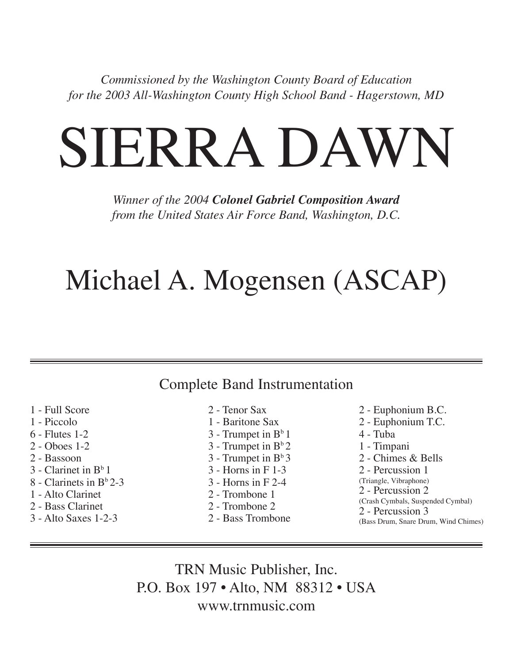*Commissioned by the Washington County Board of Education for the 2003 All-Washington County High School Band - Hagerstown, MD*

# SIERRA DAWN

*Winner of the 2004 Colonel Gabriel Composition Award from the United States Air Force Band, Washington, D.C.*

## Michael A. Mogensen (ASCAP)

#### Complete Band Instrumentation

- 1 Full Score
- 1 Piccolo
- 6 Flutes 1-2
- 2 Oboes 1-2
- 2 Bassoon
- $3$  Clarinet in  $B<sup>b</sup>1$
- 8 Clarinets in  $B<sup>b</sup> 2-3$
- 1 Alto Clarinet
- 2 Bass Clarinet
- 3 Alto Saxes 1-2-3
- 2 Tenor Sax
- 1 Baritone Sax
- $3$  Trumpet in  $B^b$  1
- $3$  Trumpet in  $B^b2$
- $3$  Trumpet in  $B^b3$
- 3 Horns in F 1-3
- 3 Horns in F 2-4
- 
- 2 Trombone 1
- 2 Trombone 2
- 2 Bass Trombone
- 2 Euphonium B.C.
- 2 Euphonium T.C.
- 4 Tuba
- 1 Timpani
- 2 Chimes & Bells
- 2 Percussion 1
- (Triangle, Vibraphone)
- 2 Percussion 2
- (Crash Cymbals, Suspended Cymbal)
- 2 Percussion 3
- (Bass Drum, Snare Drum, Wind Chimes)

TRN Music Publisher, Inc. P.O. Box 197 • Alto, NM 88312 • USA www.trnmusic.com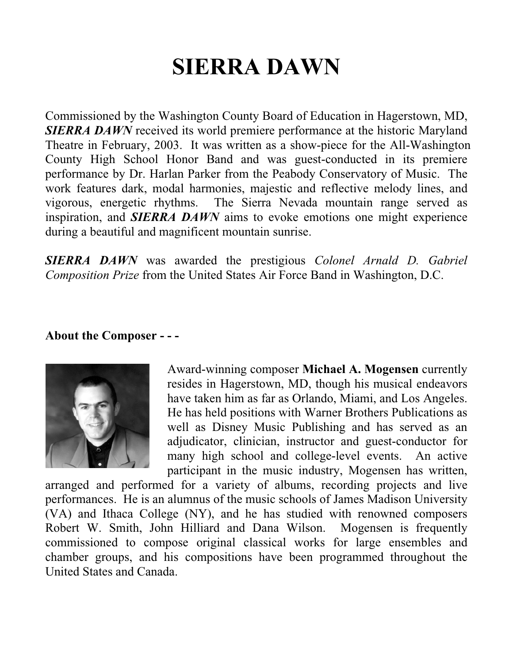### **SIERRA DAWN**

Commissioned by the Washington County Board of Education in Hagerstown, MD, **SIERRA DAWN** received its world premiere performance at the historic Maryland Theatre in February, 2003. It was written as a show-piece for the All-Washington County High School Honor Band and was guest-conducted in its premiere performance by Dr. Harlan Parker from the Peabody Conservatory of Music. The work features dark, modal harmonies, majestic and reflective melody lines, and vigorous, energetic rhythms. The Sierra Nevada mountain range served as inspiration, and *SIERRA DAWN* aims to evoke emotions one might experience during a beautiful and magnificent mountain sunrise.

*SIERRA DAWN* was awarded the prestigious *Colonel Arnald D. Gabriel Composition Prize* from the United States Air Force Band in Washington, D.C.

#### **About the Composer - - -**



Award-winning composer **Michael A. Mogensen** currently resides in Hagerstown, MD, though his musical endeavors have taken him as far as Orlando, Miami, and Los Angeles. He has held positions with Warner Brothers Publications as well as Disney Music Publishing and has served as an adjudicator, clinician, instructor and guest-conductor for many high school and college-level events. An active participant in the music industry, Mogensen has written,

arranged and performed for a variety of albums, recording projects and live performances. He is an alumnus of the music schools of James Madison University (VA) and Ithaca College (NY), and he has studied with renowned composers Robert W. Smith, John Hilliard and Dana Wilson. Mogensen is frequently commissioned to compose original classical works for large ensembles and chamber groups, and his compositions have been programmed throughout the United States and Canada.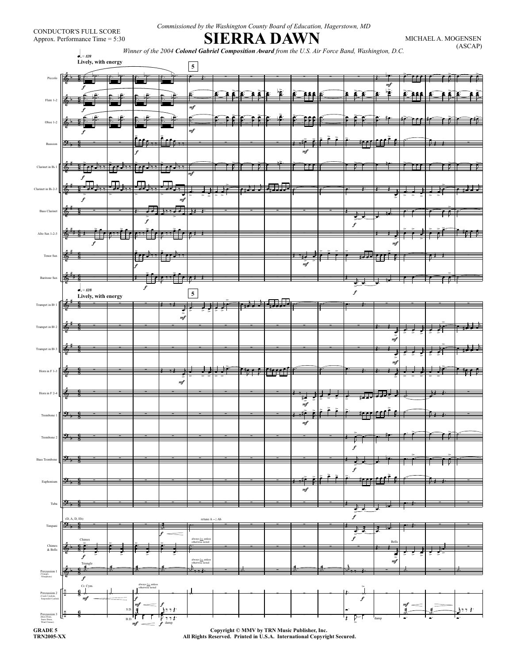Approx. Performance Time = 5:30

Pic

(ASCAP)

 $\overline{\mathcal{C}}$ © !

 $\overline{\phantom{0}}$ !

E

 $\blacksquare$ © !

ر<br>د لوړ م

© , © © , ©

İ

i

© <sup>L</sup> © © <sup>L</sup> ©

> $\pm$ ©

© , © © , ©

i

i

E

i

i

 $\equiv$ 

E

º

L  $y$   $\gamma$   $\rightarrow$ Å

Ð

Ð

Ð

Ð

 © © ©  $\blacksquare$ © © !

6 Ğ Ğ 9 Ğ Ğ 6 6 Ğ Ğ 6 Ğ Ğ Ğ Ğ 9 " 9 9 " 9 Ğ 6 ° ° D D D D ÿ į y y H ÿ į H y ÿ ij D D D D D D D D ģ 6 8 Ġ 8 6 g G g G 8 6 g G ģ 6 8 Ġ 8 6 ģ 6 8 Ġ ģ 6 g G 8 6 ģ 6 8 Ġ ģ 6 g G 8 6 ģ .<br>6 8 Ġ ģ 6 8  $\overline{6}$  $\overline{6}$ Flute 1-2 Oboe 1-2 Bassoon  $net$  in  $B<sub>b</sub>$ Clarinet in  $B\n 2$ Bass Clarinet Alto Sax 1-2-3 Tenor Sax Baritone Sax  $n$ pet in B $\overline{B}$ mpet in B .<br>In Bl Horn in  $F$  1-Horn in  $F$  2 Trombone 1 Trombone 2 Bass Trombone Tuba Chimes & Bells Percussion 1 (Triangle, Vibraphone) Percussion 2  $. = 128$  $. = 128$ **Lively, with energy Lively, with energy** (D, A, D, Eb) Ð H DÐ : : Ð Ð H : : Ð DÐ : : Ð Ð H : : Ð DÐ : © ! H  $\rightarrow$ © ½ ½ © ! H  $\exists$ © ½ ½ E ¨ © ! H  $\Rightarrow$ E :  $\equiv$ :  $\overline{ }$ : :  $\equiv$ :  $\overline{ }$ : :  $\equiv$ : © © !! H Chimes : : © © ! Ï. Triangle H º .<br>mf Cr. Cym. Ð DÐ . : Ð e.<br><del>Bish</del> : Ð DÐ . : Ð हः<br>बाह्य : Ð DÐ : © © © <sup>L</sup> ! © ½ ½ © !  $\exists$  $\rightarrow$ y y E p  $\widetilde{\mathbb{R}^{n \times k}}$ ! © © E :  $\equiv$ :  $\overline{ }$ : :  $\equiv$ :  $\overline{ }$ : :  $\equiv$ . © © .<br>ا : © © ! º º Ð DÐ ׇ֦֧֦֕֡ ׇ֖֖֖֖֖֧ׅ֖֧ׅ֖֧ׅ֖֧֧ׅ֧֚֚֚֚֚֚֚֚֚֚֚֚֚֚֚֚֚֚֚֡֬֝֝֝֬֝֓֝֬֝֬ Ð e.<br>Fi : Ð DÐ ׇ֦֚֘֝ ֚֬֘֝֓֕֓֕ Ð r<br>B<del>. ⊌</del> : Ð DÐ © ! H © © ,  $5 + y$ .<br>(ص<del>م</del>€ © ½ ½ © ! © © <sup>L</sup>  $\rightarrow$ ¨ © © © =<br>f , ے<br><del>مگ</del>≠∗م .<br><del>ان</del> ا H ¨ © © © , ! H i  $\equiv$  $\equiv$ i i i  $\equiv$  $\equiv$ i i i ׇ֦֧֡ © © .<br>ا ֖֖֖֖֖֖֧ׅ֖֪֖֖֖֖֧֚֚֚֚֚֚֚֚֚֚֚֚֚֚֚֚֚֚֚֚֚֚֚֚֚֚֚֬֝֬֝֝֓֝ © © ! Ĵ. º H always l.v. unless otherwise noted  $\sum_{i=1}^{\infty}$ .<br>mf © © © Ð DÐ ׇ֦֧֦֕֡ ׇ֖֖֖֖֖֧ׅ֖֧ׅ֖֧ׅ֖֧֧ׅ֧֚֚֚֚֚֚֚֚֚֚֚֚֚֚֚֚֚֚֚֡֬֝֝֝֬֝֓֝֬֝֬ Ð <del>ृ</del><br>इ<del>.</del> : Ð DÐ ׇ֦֚֘֝ ֚֬֘֝֓֕֓֕ Ð <del>ै।</del><br>जै≕कैं : Ð DÐ © .<br>e e , © ½ ½ © <u>. er</u> © ½ ½ © ! © © © ½ ©  $m$ L © ½ ½ © © © : , ©½½ © ‼ ⊟ © .<br>.<br>. © ½ ½ .<br><del>. اب</del>ر ¨ ½¨ L © ے<br>اس  $\equiv$  $\overline{ }$ ¨ ½¨ L © |-<br>|<br>|<br>| i i  $\equiv$  $\overline{ }$ E i Ð f H ׇ֦֧֡ © © .<br>.<br>. : © © ! º E L © H ½½¨ © **5 5**  $\equiv$   $\,$  Ð Ð mf ś Ð Ð mf : Ð mf © ! © ! 秉 L © ¨ ¨ ,  $\overline{\mathbb{R}^2}$ E ,  $\overline{\mathbb{R}^2}$ © !<br>.<br>. ! :  $\overline{ }$ ©  $\equiv$ : L © ! :  $\equiv$ :  $\overline{ }$ : : retune A  $\rightarrow$  Ab : Ð Ð always l.v. unless otherwise noted L <u></u> always <u>l.v.</u> unless otherwise noted º E  $\overline{\phantom{a}}$  © © ©  $\blacksquare$ © © ! : © © ©  $\blacksquare$ © © ! E © © , © ! ₹  $\ge$ E i E : →<br>F i : © ! L © ! © ! i i i : E i i i i E i © © ©  $\blacksquare$ © © ! : © © ©  $\blacksquare$ © © ! E  $\blacksquare$ © ! © <sup>L</sup> © © <sup>L</sup> © i i İ  $\overline{ }$ © <sup>L</sup> © © <sup>L</sup> ©  $\equiv$  $\overline{ }$  $\blacksquare$ © © , © i i  $\equiv$  $\overline{ }$ E i i  $\equiv$ º E i © © © © .<br>De . © © ׇ֖֖֖֖֧ׅ֪ׅ֪ׅ֪ׅ֪ׅ֪֪֪ׅ֪֪֪ׅ֧֚֚֚֚֚֚֚֚֚֚֚֚֚֚֚֚֚֚֚֚֡֬֝֝֬ © D© ! E © P!© ©© © © © © i i İ  $\overline{ }$ ©© © © © ©  $\equiv$  $\overline{ }$  $^{\circ}$  and i i  $\equiv$  $\overline{ }$ E i i  $\equiv$ i E  $\equiv$  $\overline{\phantom{a}}$  © ©  $\sum$ © © © © © : © ©  $\overline{\ }$ © © © © © م<br>م<del>4ج</del> !  $_{\textit{my}}$ , © !  $\overline{\phantom{a}}$ Ð E  $\equiv$ ¨ ½ © !  $\overline{m}$ L © ! : Ð :  $\overline{ }$ Ð ¨ ½ © |=<br>|<br>|-L © ! ¨ ½ ©  $m\bar{t}$ p © ! :  $\overline{ }$ م<br>م<del>4ج</del> !  $_{mf}$ , © ! :  $\equiv$ : Ĵ. . i ĺ Ð Ð í Ð Ð ©  $\geq$   $\geq$ .<br>. ! Ð Ð i i ©  $\geq$ .<br>أ !  $\overline{ }$ Ð  $\equiv$  $\overline{ }$ Ð © ! ©  $\equiv$ ! © ء<br>م .<br>م خ !<br>=  $\equiv$  $\overline{ }$ ©  $\geq$   $\geq$ .<br>. ! i i  $\equiv$ J. E E ©  $\blacksquare$ © © .<br>الم © © ©  $\equiv$ © © .<br>. © © !© © © © © , © .<br>.<br>. © ¨ ¨ L © ! H ₹ i  $\epsilon$  .  $\sqrt{3}$ ैं है। H © ¨ i : © ¨ © ! © © © !© © © ©  $\blacksquare$ © ! H © ¨ L © ! H © .<br><del>È leef</del>  $^t \rightarrow$ ! H  $\overline{\mathbf{E}}$ H i L  $\downarrow$ . يا .<br>. H Å © © ¨ D© mf ׇ֦ׅׅ֘֝֘ ©  $\frac{1}{2}$ ֦֘ © © © © © © © .<br>!‡ © © P© ¨ ¨ L © ! © P© ¨ ¨ L © ! mf © © © © ! , © © P© i ¨ ¨ L © ے<br>اس ¨ ¨ L © ! mf ¨ ¨ L © ! © © © © ! L © © © © © .<br>!<br>! © © © © D© © © © © .<br>!‡ ©  $\overline{}$ © <sub>1</sub>  $\mathbf{i}$   $\mathbf{j}$ © ।<br>।<br>। Bells i 1 © ! © © ©  $\vdots$  © © .<br>6 © © © © © !© © © © Ð © ! © © © © ! © ! L © ! © © —<br><del>⊘ : ⊘</del>  $\overline{\phantom{a}}$ © ! Ð © ©  $\equiv$ © ! © ! L © ! © ! © ! L © ! © !! ! L © ! Ð Ð © !© © © ! Ð © ¨ © ¨  $\overline{\cdot}$ ! L © ! º . Ð mf  $\overline{\phantom{0}}$ © ! ֦֧֦֧֦֧<u>֚֓</u> © © ©  $\blacksquare$ © © ! © © , © ! , .<br>تم خ{ © © , © ! © ! L © !  $\ge$ © © , © ! © ! , © ! !© ,  $\overline{\cdot}$ © © , © ! i © ! L © !  $\frac{1}{\epsilon}$ © ! L © !  $\cong$ © ! L © : © ! L © ¨ ¨ , 。<br>∑≀ ∴ ≀  $\qquad \qquad$ © ! © © , © ! , .<br>تم خ{ i i © !<br>! L © ! © ! i E Ĵ. **SIERRA DAWN** MICHAEL A. MOGENSEN *Commissioned by the Washington County Board of Education, Hagerstown, MD*<br>  $\overrightarrow{AD} = \overrightarrow{AD} + \overrightarrow{AD} + \overrightarrow{D} + \overrightarrow{D} + \overrightarrow{D}$ (Crash Cymbals, Suspended Cymbal) *Winner of the 2004 Colonel Gabriel Composition Award from the U.S. Air Force Band, Washington, D.C.*

Percussion 3 (Bass Drum, Snare Drum, Wind Chimes) **GRADE 5 TRN2005-XX**

Eup

 $Timp$ 

8

-

-

B.D. <sub>mp</sub> ,

-

1

H ½ damp  $\rightarrow$ 

**Copyright © MMV by TRN Music Publisher, Inc. All Rights Reserved. Printed in U.S.A. International Copyright Secured.**

1

-

1

 $\lambda$ 

!<br>}

damp

1

Å

Å

1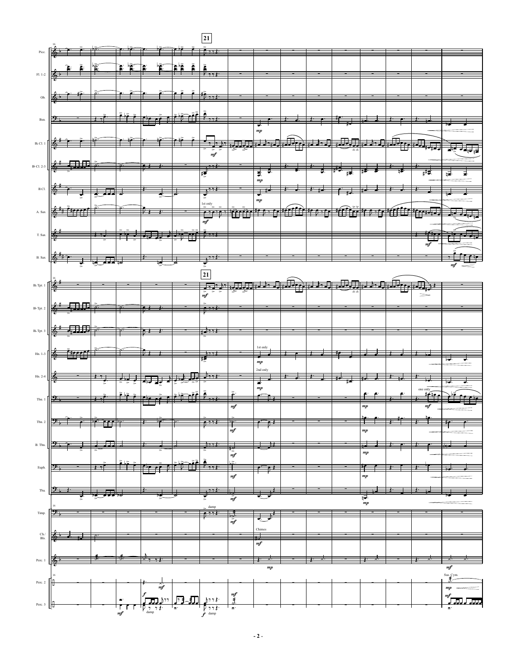

**- 2** -